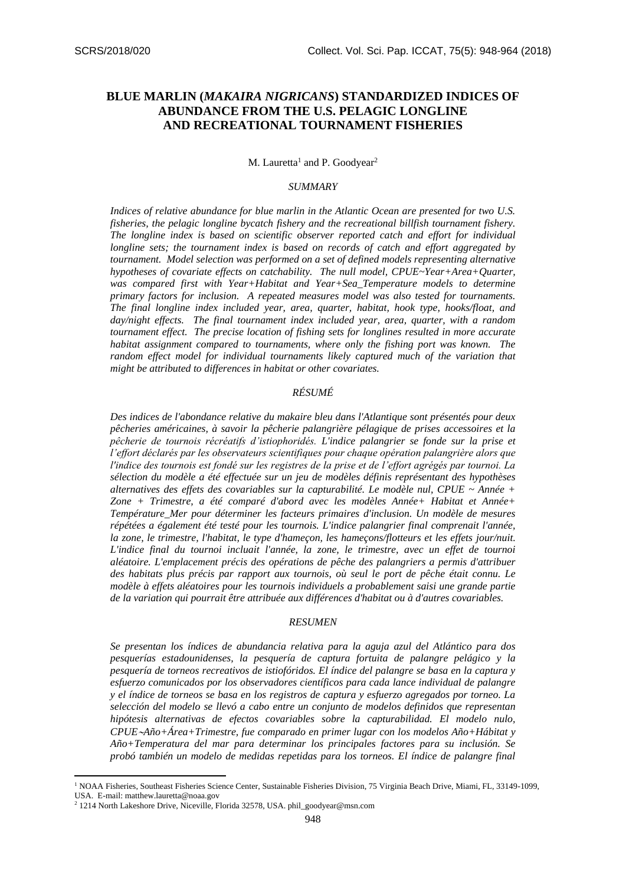## **BLUE MARLIN (***MAKAIRA NIGRICANS***) STANDARDIZED INDICES OF ABUNDANCE FROM THE U.S. PELAGIC LONGLINE AND RECREATIONAL TOURNAMENT FISHERIES**

M. Lauretta<sup>1</sup> and P. Goodyear<sup>2</sup>

## *SUMMARY*

*Indices of relative abundance for blue marlin in the Atlantic Ocean are presented for two U.S. fisheries, the pelagic longline bycatch fishery and the recreational billfish tournament fishery. The longline index is based on scientific observer reported catch and effort for individual longline sets; the tournament index is based on records of catch and effort aggregated by tournament. Model selection was performed on a set of defined models representing alternative hypotheses of covariate effects on catchability. The null model, CPUE~Year+Area+Quarter, was compared first with Year+Habitat and Year+Sea\_Temperature models to determine primary factors for inclusion. A repeated measures model was also tested for tournaments. The final longline index included year, area, quarter, habitat, hook type, hooks/float, and day/night effects. The final tournament index included year, area, quarter, with a random tournament effect. The precise location of fishing sets for longlines resulted in more accurate habitat assignment compared to tournaments, where only the fishing port was known. The random effect model for individual tournaments likely captured much of the variation that might be attributed to differences in habitat or other covariates.*

#### *RÉSUMÉ*

*Des indices de l'abondance relative du makaire bleu dans l'Atlantique sont présentés pour deux pêcheries américaines, à savoir la pêcherie palangrière pélagique de prises accessoires et la pêcherie de tournois récréatifs d'istiophoridés. L'indice palangrier se fonde sur la prise et l'effort déclarés par les observateurs scientifiques pour chaque opération palangrière alors que l'indice des tournois est fondé sur les registres de la prise et de l'effort agrégés par tournoi. La sélection du modèle a été effectuée sur un jeu de modèles définis représentant des hypothèses alternatives des effets des covariables sur la capturabilité. Le modèle nul, CPUE ~ Année + Zone + Trimestre, a été comparé d'abord avec les modèles Année+ Habitat et Année+ Température\_Mer pour déterminer les facteurs primaires d'inclusion. Un modèle de mesures répétées a également été testé pour les tournois. L'indice palangrier final comprenait l'année, la zone, le trimestre, l'habitat, le type d'hameçon, les hameçons/flotteurs et les effets jour/nuit. L'indice final du tournoi incluait l'année, la zone, le trimestre, avec un effet de tournoi aléatoire. L'emplacement précis des opérations de pêche des palangriers a permis d'attribuer des habitats plus précis par rapport aux tournois, où seul le port de pêche était connu. Le modèle à effets aléatoires pour les tournois individuels a probablement saisi une grande partie de la variation qui pourrait être attribuée aux différences d'habitat ou à d'autres covariables.*

#### *RESUMEN*

*Se presentan los índices de abundancia relativa para la aguja azul del Atlántico para dos pesquerías estadounidenses, la pesquería de captura fortuita de palangre pelágico y la pesquería de torneos recreativos de istiofóridos. El índice del palangre se basa en la captura y esfuerzo comunicados por los observadores científicos para cada lance individual de palangre y el índice de torneos se basa en los registros de captura y esfuerzo agregados por torneo. La selección del modelo se llevó a cabo entre un conjunto de modelos definidos que representan hipótesis alternativas de efectos covariables sobre la capturabilidad. El modelo nulo, CPUEAño+Área+Trimestre, fue comparado en primer lugar con los modelos Año+Hábitat y Año+Temperatura del mar para determinar los principales factores para su inclusión. Se probó también un modelo de medidas repetidas para los torneos. El índice de palangre final* 

**.** 

<sup>1</sup> NOAA Fisheries, Southeast Fisheries Science Center, Sustainable Fisheries Division, 75 Virginia Beach Drive, Miami, FL, 33149-1099, USA. E-mail: matthew.lauretta@noaa.gov

<sup>2</sup> 1214 North Lakeshore Drive, Niceville, Florida 32578, USA. phil\_goodyear@msn.com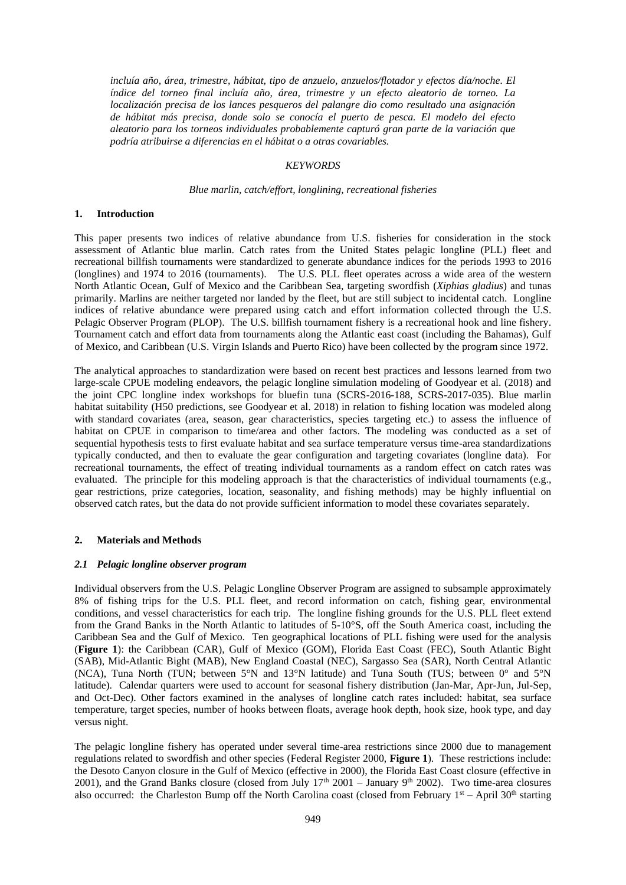*incluía año, área, trimestre, hábitat, tipo de anzuelo, anzuelos/flotador y efectos día/noche. El índice del torneo final incluía año, área, trimestre y un efecto aleatorio de torneo. La localización precisa de los lances pesqueros del palangre dio como resultado una asignación de hábitat más precisa, donde solo se conocía el puerto de pesca. El modelo del efecto aleatorio para los torneos individuales probablemente capturó gran parte de la variación que podría atribuirse a diferencias en el hábitat o a otras covariables.*

#### *KEYWORDS*

### *Blue marlin, catch/effort, longlining, recreational fisheries*

#### **1. Introduction**

This paper presents two indices of relative abundance from U.S. fisheries for consideration in the stock assessment of Atlantic blue marlin. Catch rates from the United States pelagic longline (PLL) fleet and recreational billfish tournaments were standardized to generate abundance indices for the periods 1993 to 2016 (longlines) and 1974 to 2016 (tournaments). The U.S. PLL fleet operates across a wide area of the western North Atlantic Ocean, Gulf of Mexico and the Caribbean Sea, targeting swordfish (*Xiphias gladius*) and tunas primarily. Marlins are neither targeted nor landed by the fleet, but are still subject to incidental catch. Longline indices of relative abundance were prepared using catch and effort information collected through the U.S. Pelagic Observer Program (PLOP). The U.S. billfish tournament fishery is a recreational hook and line fishery. Tournament catch and effort data from tournaments along the Atlantic east coast (including the Bahamas), Gulf of Mexico, and Caribbean (U.S. Virgin Islands and Puerto Rico) have been collected by the program since 1972.

The analytical approaches to standardization were based on recent best practices and lessons learned from two large-scale CPUE modeling endeavors, the pelagic longline simulation modeling of Goodyear et al. (2018) and the joint CPC longline index workshops for bluefin tuna (SCRS-2016-188, SCRS-2017-035). Blue marlin habitat suitability (H50 predictions, see Goodyear et al. 2018) in relation to fishing location was modeled along with standard covariates (area, season, gear characteristics, species targeting etc.) to assess the influence of habitat on CPUE in comparison to time/area and other factors. The modeling was conducted as a set of sequential hypothesis tests to first evaluate habitat and sea surface temperature versus time-area standardizations typically conducted, and then to evaluate the gear configuration and targeting covariates (longline data). For recreational tournaments, the effect of treating individual tournaments as a random effect on catch rates was evaluated. The principle for this modeling approach is that the characteristics of individual tournaments (e.g., gear restrictions, prize categories, location, seasonality, and fishing methods) may be highly influential on observed catch rates, but the data do not provide sufficient information to model these covariates separately.

### **2. Materials and Methods**

#### *2.1 Pelagic longline observer program*

Individual observers from the U.S. Pelagic Longline Observer Program are assigned to subsample approximately 8% of fishing trips for the U.S. PLL fleet, and record information on catch, fishing gear, environmental conditions, and vessel characteristics for each trip. The longline fishing grounds for the U.S. PLL fleet extend from the Grand Banks in the North Atlantic to latitudes of 5-10°S, off the South America coast, including the Caribbean Sea and the Gulf of Mexico. Ten geographical locations of PLL fishing were used for the analysis (**Figure 1**): the Caribbean (CAR), Gulf of Mexico (GOM), Florida East Coast (FEC), South Atlantic Bight (SAB), Mid-Atlantic Bight (MAB), New England Coastal (NEC), Sargasso Sea (SAR), North Central Atlantic (NCA), Tuna North (TUN; between 5°N and 13°N latitude) and Tuna South (TUS; between 0° and 5°N latitude). Calendar quarters were used to account for seasonal fishery distribution (Jan-Mar, Apr-Jun, Jul-Sep, and Oct-Dec). Other factors examined in the analyses of longline catch rates included: habitat, sea surface temperature, target species, number of hooks between floats, average hook depth, hook size, hook type, and day versus night.

The pelagic longline fishery has operated under several time-area restrictions since 2000 due to management regulations related to swordfish and other species (Federal Register 2000, **Figure 1**). These restrictions include: the Desoto Canyon closure in the Gulf of Mexico (effective in 2000), the Florida East Coast closure (effective in 2001), and the Grand Banks closure (closed from July  $17<sup>th</sup>$  2001 – January 9<sup>th</sup> 2002). Two time-area closures also occurred: the Charleston Bump off the North Carolina coast (closed from February  $1<sup>st</sup> -$  April 30<sup>th</sup> starting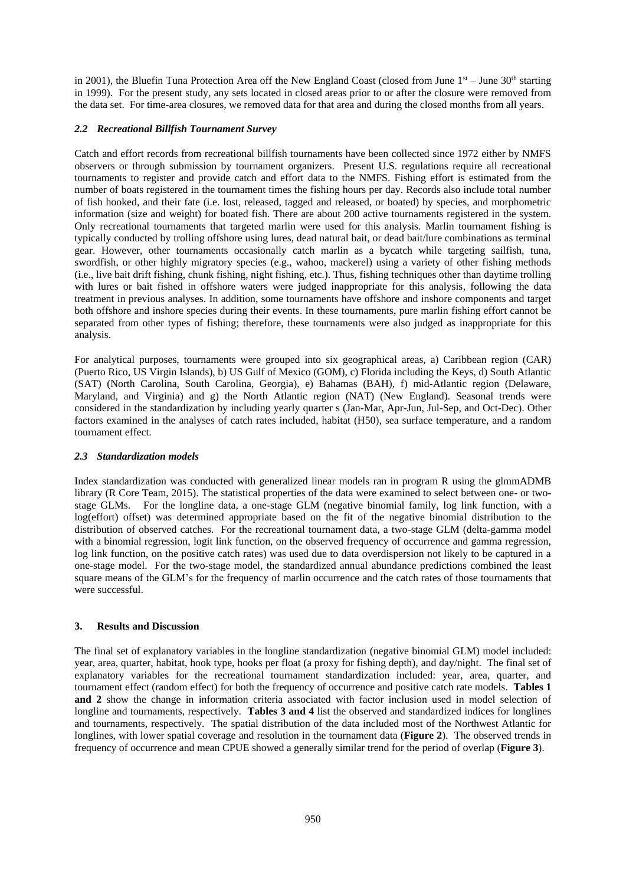in 2001), the Bluefin Tuna Protection Area off the New England Coast (closed from June  $1<sup>st</sup>$  – June 30<sup>th</sup> starting in 1999). For the present study, any sets located in closed areas prior to or after the closure were removed from the data set. For time-area closures, we removed data for that area and during the closed months from all years.

## *2.2 Recreational Billfish Tournament Survey*

Catch and effort records from recreational billfish tournaments have been collected since 1972 either by NMFS observers or through submission by tournament organizers. Present U.S. regulations require all recreational tournaments to register and provide catch and effort data to the NMFS. Fishing effort is estimated from the number of boats registered in the tournament times the fishing hours per day. Records also include total number of fish hooked, and their fate (i.e. lost, released, tagged and released, or boated) by species, and morphometric information (size and weight) for boated fish. There are about 200 active tournaments registered in the system. Only recreational tournaments that targeted marlin were used for this analysis. Marlin tournament fishing is typically conducted by trolling offshore using lures, dead natural bait, or dead bait/lure combinations as terminal gear. However, other tournaments occasionally catch marlin as a bycatch while targeting sailfish, tuna, swordfish, or other highly migratory species (e.g., wahoo, mackerel) using a variety of other fishing methods (i.e., live bait drift fishing, chunk fishing, night fishing, etc.). Thus, fishing techniques other than daytime trolling with lures or bait fished in offshore waters were judged inappropriate for this analysis, following the data treatment in previous analyses. In addition, some tournaments have offshore and inshore components and target both offshore and inshore species during their events. In these tournaments, pure marlin fishing effort cannot be separated from other types of fishing; therefore, these tournaments were also judged as inappropriate for this analysis.

For analytical purposes, tournaments were grouped into six geographical areas, a) Caribbean region (CAR) (Puerto Rico, US Virgin Islands), b) US Gulf of Mexico (GOM), c) Florida including the Keys, d) South Atlantic (SAT) (North Carolina, South Carolina, Georgia), e) Bahamas (BAH), f) mid-Atlantic region (Delaware, Maryland, and Virginia) and g) the North Atlantic region (NAT) (New England). Seasonal trends were considered in the standardization by including yearly quarter s (Jan-Mar, Apr-Jun, Jul-Sep, and Oct-Dec). Other factors examined in the analyses of catch rates included, habitat (H50), sea surface temperature, and a random tournament effect.

### *2.3 Standardization models*

Index standardization was conducted with generalized linear models ran in program R using the glmmADMB library (R Core Team, 2015). The statistical properties of the data were examined to select between one- or twostage GLMs. For the longline data, a one-stage GLM (negative binomial family, log link function, with a log(effort) offset) was determined appropriate based on the fit of the negative binomial distribution to the distribution of observed catches. For the recreational tournament data, a two-stage GLM (delta-gamma model with a binomial regression, logit link function, on the observed frequency of occurrence and gamma regression, log link function, on the positive catch rates) was used due to data overdispersion not likely to be captured in a one-stage model. For the two-stage model, the standardized annual abundance predictions combined the least square means of the GLM's for the frequency of marlin occurrence and the catch rates of those tournaments that were successful.

## **3. Results and Discussion**

The final set of explanatory variables in the longline standardization (negative binomial GLM) model included: year, area, quarter, habitat, hook type, hooks per float (a proxy for fishing depth), and day/night. The final set of explanatory variables for the recreational tournament standardization included: year, area, quarter, and tournament effect (random effect) for both the frequency of occurrence and positive catch rate models. **Tables 1 and 2** show the change in information criteria associated with factor inclusion used in model selection of longline and tournaments, respectively. **Tables 3 and 4** list the observed and standardized indices for longlines and tournaments, respectively. The spatial distribution of the data included most of the Northwest Atlantic for longlines, with lower spatial coverage and resolution in the tournament data (**Figure 2**). The observed trends in frequency of occurrence and mean CPUE showed a generally similar trend for the period of overlap (**Figure 3**).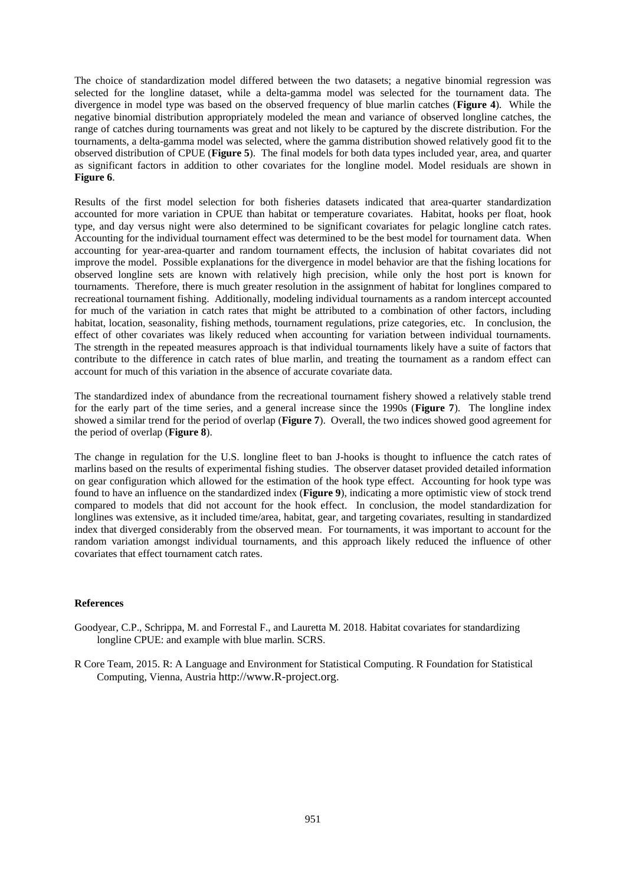The choice of standardization model differed between the two datasets; a negative binomial regression was selected for the longline dataset, while a delta-gamma model was selected for the tournament data. The divergence in model type was based on the observed frequency of blue marlin catches (**Figure 4**). While the negative binomial distribution appropriately modeled the mean and variance of observed longline catches, the range of catches during tournaments was great and not likely to be captured by the discrete distribution. For the tournaments, a delta-gamma model was selected, where the gamma distribution showed relatively good fit to the observed distribution of CPUE (**Figure 5**). The final models for both data types included year, area, and quarter as significant factors in addition to other covariates for the longline model. Model residuals are shown in **Figure 6**.

Results of the first model selection for both fisheries datasets indicated that area-quarter standardization accounted for more variation in CPUE than habitat or temperature covariates. Habitat, hooks per float, hook type, and day versus night were also determined to be significant covariates for pelagic longline catch rates. Accounting for the individual tournament effect was determined to be the best model for tournament data. When accounting for year-area-quarter and random tournament effects, the inclusion of habitat covariates did not improve the model. Possible explanations for the divergence in model behavior are that the fishing locations for observed longline sets are known with relatively high precision, while only the host port is known for tournaments. Therefore, there is much greater resolution in the assignment of habitat for longlines compared to recreational tournament fishing. Additionally, modeling individual tournaments as a random intercept accounted for much of the variation in catch rates that might be attributed to a combination of other factors, including habitat, location, seasonality, fishing methods, tournament regulations, prize categories, etc. In conclusion, the effect of other covariates was likely reduced when accounting for variation between individual tournaments. The strength in the repeated measures approach is that individual tournaments likely have a suite of factors that contribute to the difference in catch rates of blue marlin, and treating the tournament as a random effect can account for much of this variation in the absence of accurate covariate data.

The standardized index of abundance from the recreational tournament fishery showed a relatively stable trend for the early part of the time series, and a general increase since the 1990s (**Figure 7**). The longline index showed a similar trend for the period of overlap (**Figure 7**). Overall, the two indices showed good agreement for the period of overlap (**Figure 8**).

The change in regulation for the U.S. longline fleet to ban J-hooks is thought to influence the catch rates of marlins based on the results of experimental fishing studies. The observer dataset provided detailed information on gear configuration which allowed for the estimation of the hook type effect. Accounting for hook type was found to have an influence on the standardized index (**Figure 9**), indicating a more optimistic view of stock trend compared to models that did not account for the hook effect. In conclusion, the model standardization for longlines was extensive, as it included time/area, habitat, gear, and targeting covariates, resulting in standardized index that diverged considerably from the observed mean. For tournaments, it was important to account for the random variation amongst individual tournaments, and this approach likely reduced the influence of other covariates that effect tournament catch rates.

## **References**

- Goodyear, C.P., Schrippa, M. and Forrestal F., and Lauretta M. 2018. Habitat covariates for standardizing longline CPUE: and example with blue marlin. SCRS.
- R Core Team, 2015. R: A Language and Environment for Statistical Computing. R Foundation for Statistical Computing, Vienna, Austria [http://www.R-project.org](http://www.r-project.org/).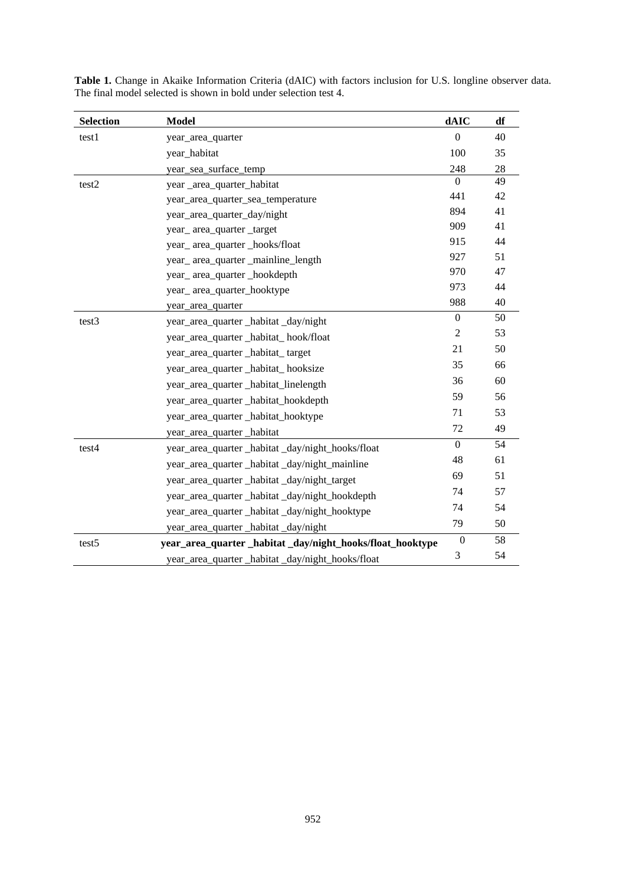| <b>Selection</b>  | <b>Model</b>                                               | dAIC             | df |
|-------------------|------------------------------------------------------------|------------------|----|
| test1             | year_area_quarter                                          | $\theta$         | 40 |
|                   | year_habitat                                               | 100              | 35 |
|                   | year_sea_surface_temp                                      | 248              | 28 |
| test2             | year _area_quarter_habitat                                 | $\Omega$         | 49 |
|                   | year_area_quarter_sea_temperature                          | 441              | 42 |
|                   | year_area_quarter_day/night                                | 894              | 41 |
|                   | year_area_quarter_target                                   | 909              | 41 |
|                   | year_area_quarter _hooks/float                             | 915              | 44 |
|                   | year_area_quarter_mainline_length                          | 927              | 51 |
|                   | year_area_quarter _hookdepth                               | 970              | 47 |
|                   | year_area_quarter_hooktype                                 | 973              | 44 |
|                   | year_area_quarter                                          | 988              | 40 |
| test3             | year_area_quarter _habitat _day/night                      | $\mathbf{0}$     | 50 |
|                   | year_area_quarter _habitat_ hook/float                     | $\overline{c}$   | 53 |
|                   | year_area_quarter _habitat_target                          | 21               | 50 |
|                   | year_area_quarter _habitat_ hooksize                       | 35               | 66 |
|                   | year_area_quarter _habitat_linelength                      | 36               | 60 |
|                   | year_area_quarter _habitat_hookdepth                       | 59               | 56 |
|                   | year_area_quarter _habitat_hooktype                        | 71               | 53 |
|                   | year_area_quarter _habitat                                 | 72               | 49 |
| test4             | year_area_quarter _habitat _day/night_hooks/float          | $\boldsymbol{0}$ | 54 |
|                   | year_area_quarter _habitat _day/night_mainline             | 48               | 61 |
|                   | year_area_quarter _habitat _day/night_target               | 69               | 51 |
|                   | year_area_quarter_habitat_day/night_hookdepth              | 74               | 57 |
|                   | year_area_quarter _habitat _day/night_hooktype             | 74               | 54 |
|                   | year_area_quarter _habitat _day/night                      | 79               | 50 |
| test <sub>5</sub> | year_area_quarter _habitat _day/night_hooks/float_hooktype | $\boldsymbol{0}$ | 58 |
|                   | year_area_quarter _habitat _day/night_hooks/float          | 3                | 54 |

**Table 1.** Change in Akaike Information Criteria (dAIC) with factors inclusion for U.S. longline observer data. The final model selected is shown in bold under selection test 4.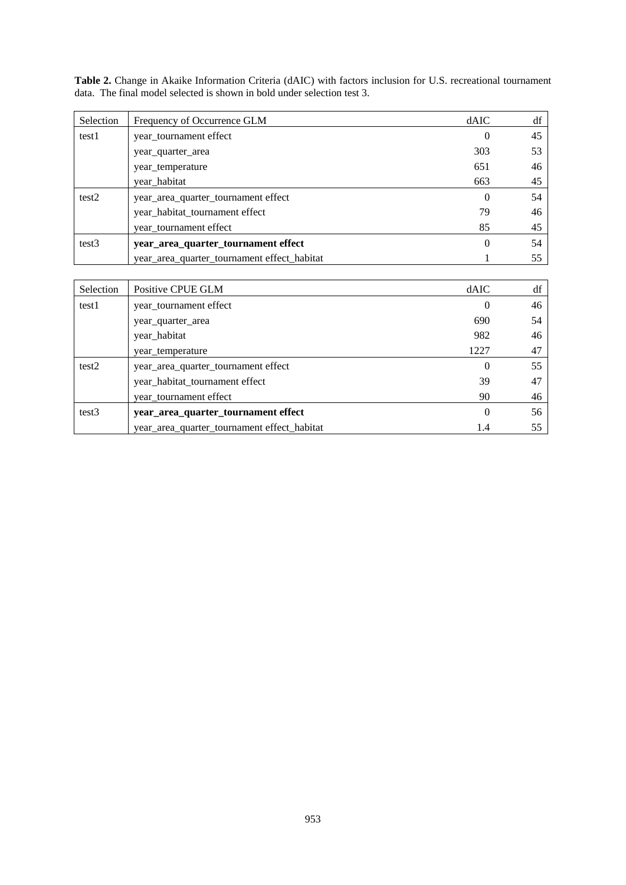| Selection | Frequency of Occurrence GLM                 | dAIC     | df |
|-----------|---------------------------------------------|----------|----|
| test1     | year_tournament effect                      | $\theta$ | 45 |
|           | year_quarter_area                           | 303      | 53 |
|           | year temperature                            | 651      | 46 |
|           | year habitat                                | 663      | 45 |
| test2     | year_area_quarter_tournament effect         | 0        | 54 |
|           | year_habitat_tournament effect              | 79       | 46 |
|           | year tournament effect                      | 85       | 45 |
| test3     | year_area_quarter_tournament effect         | 0        | 54 |
|           | year_area_quarter_tournament effect_habitat |          | 55 |

**Table 2.** Change in Akaike Information Criteria (dAIC) with factors inclusion for U.S. recreational tournament data. The final model selected is shown in bold under selection test 3.

| Selection         | Positive CPUE GLM                           | dAIC     | df |
|-------------------|---------------------------------------------|----------|----|
| test1             | year_tournament effect                      | $\theta$ | 46 |
|                   | year_quarter_area                           | 690      | 54 |
|                   | year_habitat                                | 982      | 46 |
|                   | year temperature                            | 1227     | 47 |
| test2             | year_area_quarter_tournament effect         | $\theta$ | 55 |
|                   | year_habitat_tournament effect              | 39       | 47 |
|                   | year tournament effect                      | 90       | 46 |
| test <sub>3</sub> | year_area_quarter_tournament effect         | 0        | 56 |
|                   | year_area_quarter_tournament effect_habitat | 1.4      | 55 |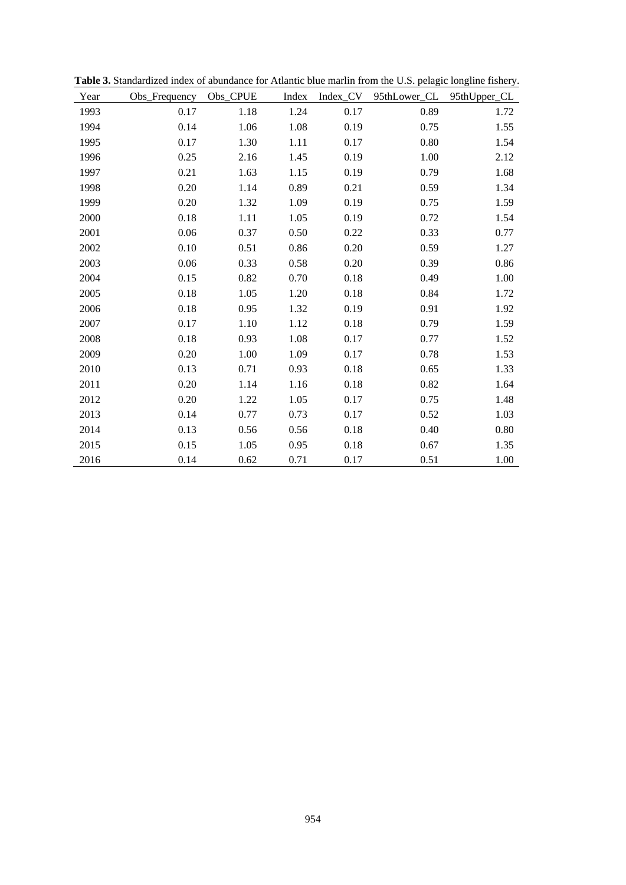| Year | Obs_Frequency | Obs_CPUE | Index |      | Index_CV 95thLower_CL 95thUpper_CL |          |
|------|---------------|----------|-------|------|------------------------------------|----------|
| 1993 | 0.17          | 1.18     | 1.24  | 0.17 | 0.89                               | 1.72     |
| 1994 | 0.14          | 1.06     | 1.08  | 0.19 | 0.75                               | 1.55     |
| 1995 | 0.17          | 1.30     | 1.11  | 0.17 | 0.80                               | 1.54     |
| 1996 | 0.25          | 2.16     | 1.45  | 0.19 | 1.00                               | 2.12     |
| 1997 | 0.21          | 1.63     | 1.15  | 0.19 | 0.79                               | 1.68     |
| 1998 | 0.20          | 1.14     | 0.89  | 0.21 | 0.59                               | 1.34     |
| 1999 | 0.20          | 1.32     | 1.09  | 0.19 | 0.75                               | 1.59     |
| 2000 | 0.18          | 1.11     | 1.05  | 0.19 | 0.72                               | 1.54     |
| 2001 | 0.06          | 0.37     | 0.50  | 0.22 | 0.33                               | 0.77     |
| 2002 | 0.10          | 0.51     | 0.86  | 0.20 | 0.59                               | 1.27     |
| 2003 | 0.06          | 0.33     | 0.58  | 0.20 | 0.39                               | 0.86     |
| 2004 | 0.15          | 0.82     | 0.70  | 0.18 | 0.49                               | 1.00     |
| 2005 | 0.18          | 1.05     | 1.20  | 0.18 | 0.84                               | 1.72     |
| 2006 | 0.18          | 0.95     | 1.32  | 0.19 | 0.91                               | 1.92     |
| 2007 | 0.17          | 1.10     | 1.12  | 0.18 | 0.79                               | 1.59     |
| 2008 | $0.18\,$      | 0.93     | 1.08  | 0.17 | 0.77                               | 1.52     |
| 2009 | 0.20          | 1.00     | 1.09  | 0.17 | 0.78                               | 1.53     |
| 2010 | 0.13          | 0.71     | 0.93  | 0.18 | 0.65                               | 1.33     |
| 2011 | 0.20          | 1.14     | 1.16  | 0.18 | 0.82                               | 1.64     |
| 2012 | 0.20          | 1.22     | 1.05  | 0.17 | 0.75                               | 1.48     |
| 2013 | 0.14          | 0.77     | 0.73  | 0.17 | 0.52                               | 1.03     |
| 2014 | 0.13          | 0.56     | 0.56  | 0.18 | 0.40                               | $0.80\,$ |
| 2015 | 0.15          | 1.05     | 0.95  | 0.18 | 0.67                               | 1.35     |
| 2016 | 0.14          | 0.62     | 0.71  | 0.17 | 0.51                               | 1.00     |

**Table 3.** Standardized index of abundance for Atlantic blue marlin from the U.S. pelagic longline fishery.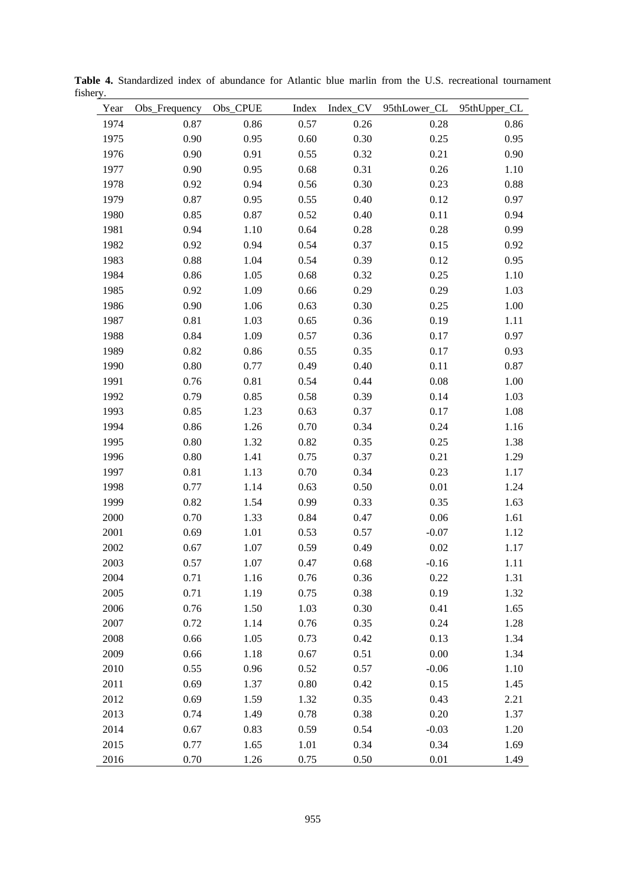| Year | Obs_Frequency | Obs_CPUE | Index |      | Index_CV 95thLower_CL | 95thUpper_CL |
|------|---------------|----------|-------|------|-----------------------|--------------|
| 1974 | 0.87          | 0.86     | 0.57  | 0.26 | 0.28                  | 0.86         |
| 1975 | 0.90          | 0.95     | 0.60  | 0.30 | 0.25                  | 0.95         |
| 1976 | 0.90          | 0.91     | 0.55  | 0.32 | 0.21                  | 0.90         |
| 1977 | 0.90          | 0.95     | 0.68  | 0.31 | 0.26                  | 1.10         |
| 1978 | 0.92          | 0.94     | 0.56  | 0.30 | 0.23                  | 0.88         |
| 1979 | 0.87          | 0.95     | 0.55  | 0.40 | 0.12                  | 0.97         |
| 1980 | 0.85          | 0.87     | 0.52  | 0.40 | 0.11                  | 0.94         |
| 1981 | 0.94          | 1.10     | 0.64  | 0.28 | 0.28                  | 0.99         |
| 1982 | 0.92          | 0.94     | 0.54  | 0.37 | 0.15                  | 0.92         |
| 1983 | 0.88          | 1.04     | 0.54  | 0.39 | 0.12                  | 0.95         |
| 1984 | 0.86          | 1.05     | 0.68  | 0.32 | 0.25                  | $1.10\,$     |
| 1985 | 0.92          | 1.09     | 0.66  | 0.29 | 0.29                  | 1.03         |
| 1986 | 0.90          | 1.06     | 0.63  | 0.30 | 0.25                  | $1.00\,$     |
| 1987 | 0.81          | 1.03     | 0.65  | 0.36 | 0.19                  | 1.11         |
| 1988 | 0.84          | 1.09     | 0.57  | 0.36 | 0.17                  | 0.97         |
| 1989 | 0.82          | 0.86     | 0.55  | 0.35 | 0.17                  | 0.93         |
| 1990 | $0.80\,$      | 0.77     | 0.49  | 0.40 | 0.11                  | 0.87         |
| 1991 | 0.76          | 0.81     | 0.54  | 0.44 | 0.08                  | 1.00         |
| 1992 | 0.79          | 0.85     | 0.58  | 0.39 | 0.14                  | 1.03         |
| 1993 | 0.85          | 1.23     | 0.63  | 0.37 | 0.17                  | 1.08         |
| 1994 | 0.86          | 1.26     | 0.70  | 0.34 | 0.24                  | 1.16         |
| 1995 | $0.80\,$      | 1.32     | 0.82  | 0.35 | 0.25                  | 1.38         |
| 1996 | $0.80\,$      | 1.41     | 0.75  | 0.37 | 0.21                  | 1.29         |
| 1997 | 0.81          | 1.13     | 0.70  | 0.34 | 0.23                  | 1.17         |
| 1998 | 0.77          | 1.14     | 0.63  | 0.50 | 0.01                  | 1.24         |
| 1999 | 0.82          | 1.54     | 0.99  | 0.33 | 0.35                  | 1.63         |
| 2000 | 0.70          | 1.33     | 0.84  | 0.47 | 0.06                  | 1.61         |
| 2001 | 0.69          | 1.01     | 0.53  | 0.57 | $-0.07$               | 1.12         |
| 2002 | 0.67          | 1.07     | 0.59  | 0.49 | $0.02\,$              | 1.17         |
| 2003 | 0.57          | 1.07     | 0.47  | 0.68 | $-0.16$               | 1.11         |
| 2004 | 0.71          | 1.16     | 0.76  | 0.36 | 0.22                  | 1.31         |
| 2005 | 0.71          | 1.19     | 0.75  | 0.38 | 0.19                  | 1.32         |
| 2006 | 0.76          | 1.50     | 1.03  | 0.30 | 0.41                  | 1.65         |
| 2007 | 0.72          | 1.14     | 0.76  | 0.35 | 0.24                  | 1.28         |
| 2008 | 0.66          | 1.05     | 0.73  | 0.42 | 0.13                  | 1.34         |
| 2009 | 0.66          | 1.18     | 0.67  | 0.51 | 0.00                  | 1.34         |
| 2010 | 0.55          | 0.96     | 0.52  | 0.57 | $-0.06$               | 1.10         |
| 2011 | 0.69          | 1.37     | 0.80  | 0.42 | 0.15                  | 1.45         |
| 2012 | 0.69          | 1.59     | 1.32  | 0.35 | 0.43                  | 2.21         |
| 2013 | 0.74          | 1.49     | 0.78  | 0.38 | 0.20                  | 1.37         |
| 2014 | 0.67          | 0.83     | 0.59  | 0.54 | $-0.03$               | 1.20         |
| 2015 | 0.77          | 1.65     | 1.01  | 0.34 | 0.34                  | 1.69         |
| 2016 | 0.70          | 1.26     | 0.75  | 0.50 | 0.01                  | 1.49         |

**Table 4.** Standardized index of abundance for Atlantic blue marlin from the U.S. recreational tournament fishery.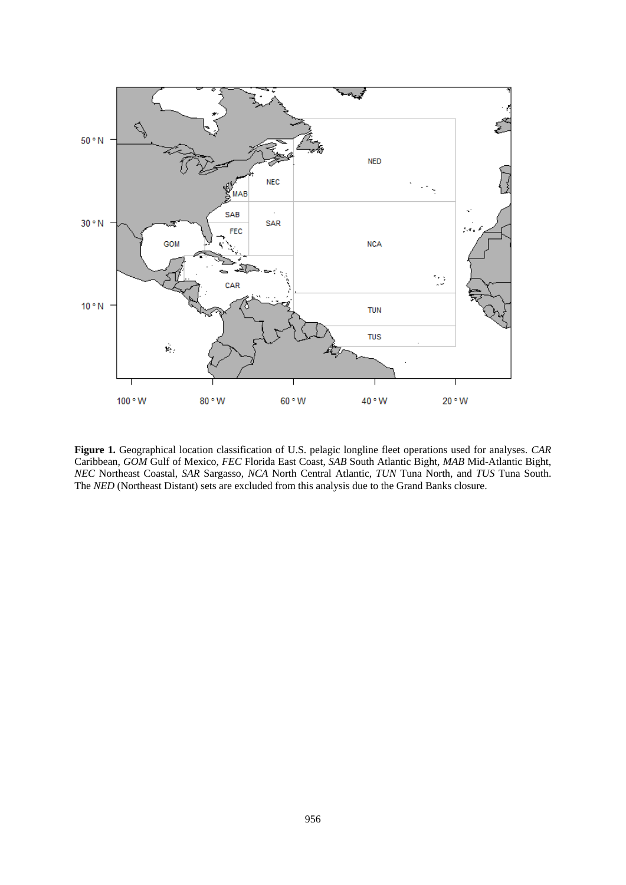

**Figure 1.** Geographical location classification of U.S. pelagic longline fleet operations used for analyses. *CAR* Caribbean, *GOM* Gulf of Mexico, *FEC* Florida East Coast, *SAB* South Atlantic Bight, *MAB* Mid-Atlantic Bight, *NEC* Northeast Coastal, *SAR* Sargasso, *NCA* North Central Atlantic, *TUN* Tuna North, and *TUS* Tuna South. The *NED* (Northeast Distant) sets are excluded from this analysis due to the Grand Banks closure.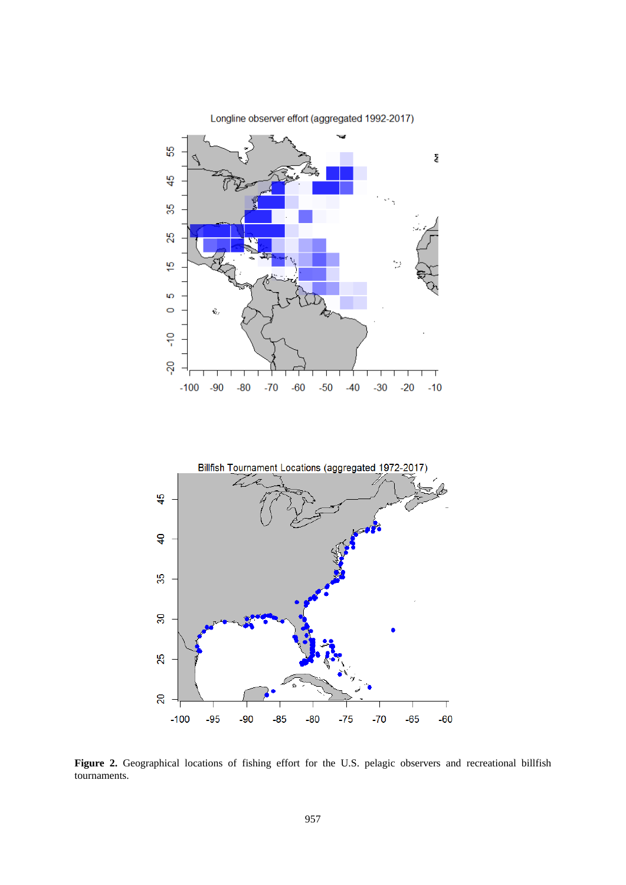



**Figure 2.** Geographical locations of fishing effort for the U.S. pelagic observers and recreational billfish tournaments.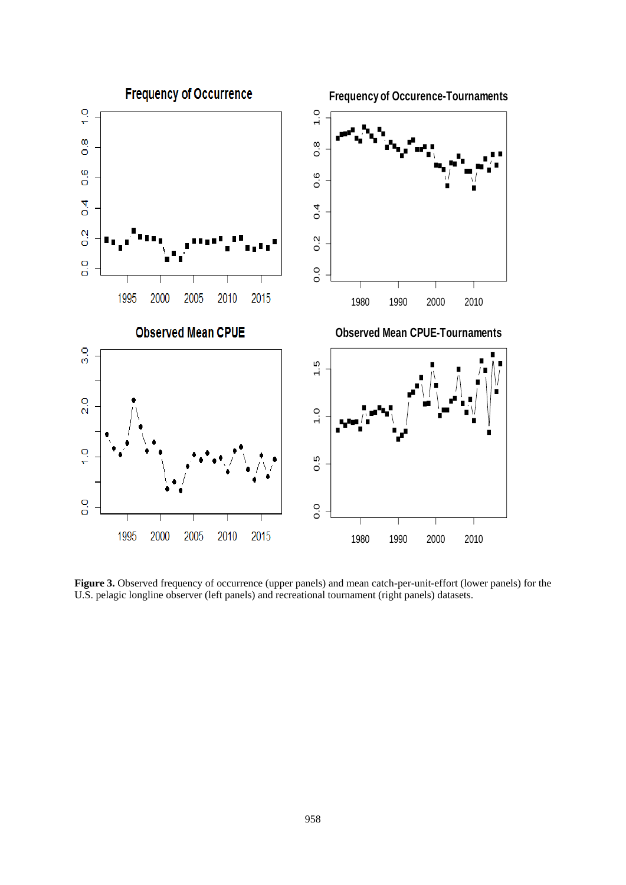

**Figure 3.** Observed frequency of occurrence (upper panels) and mean catch-per-unit-effort (lower panels) for the U.S. pelagic longline observer (left panels) and recreational tournament (right panels) datasets.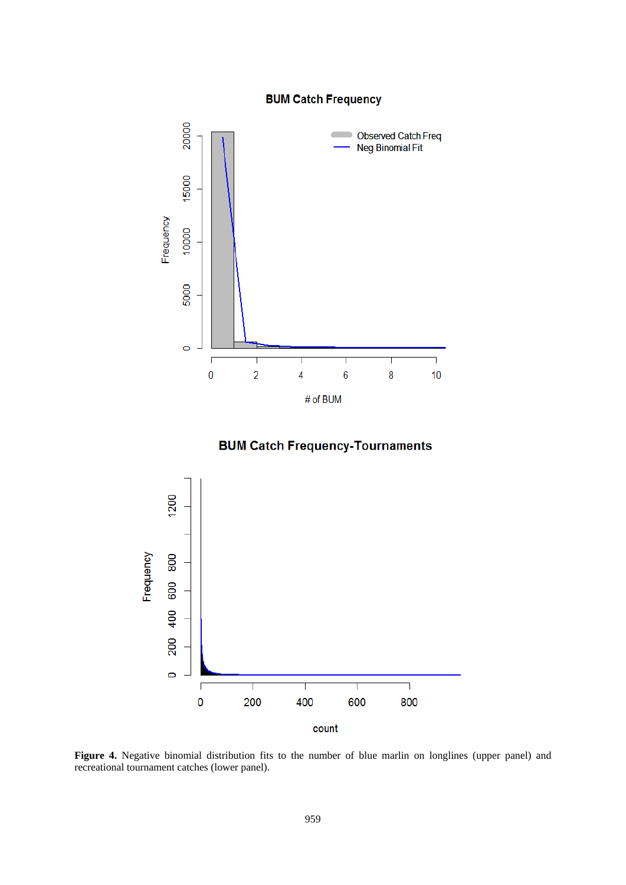## **BUM Catch Frequency**



**BUM Catch Frequency-Tournaments** 



Figure 4. Negative binomial distribution fits to the number of blue marlin on longlines (upper panel) and recreational tournament catches (lower panel).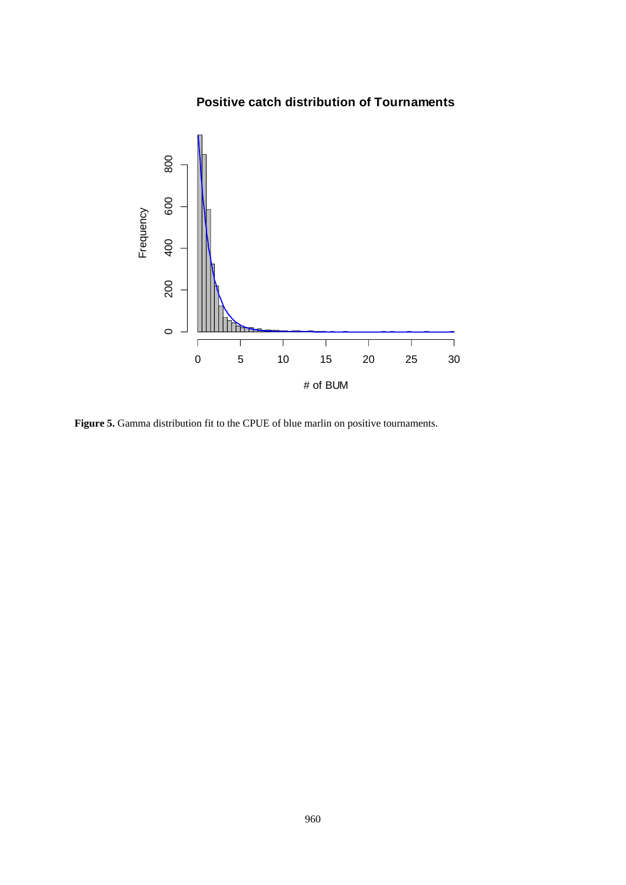# **Positive catch distribution of Tournaments**



**Figure 5.** Gamma distribution fit to the CPUE of blue marlin on positive tournaments.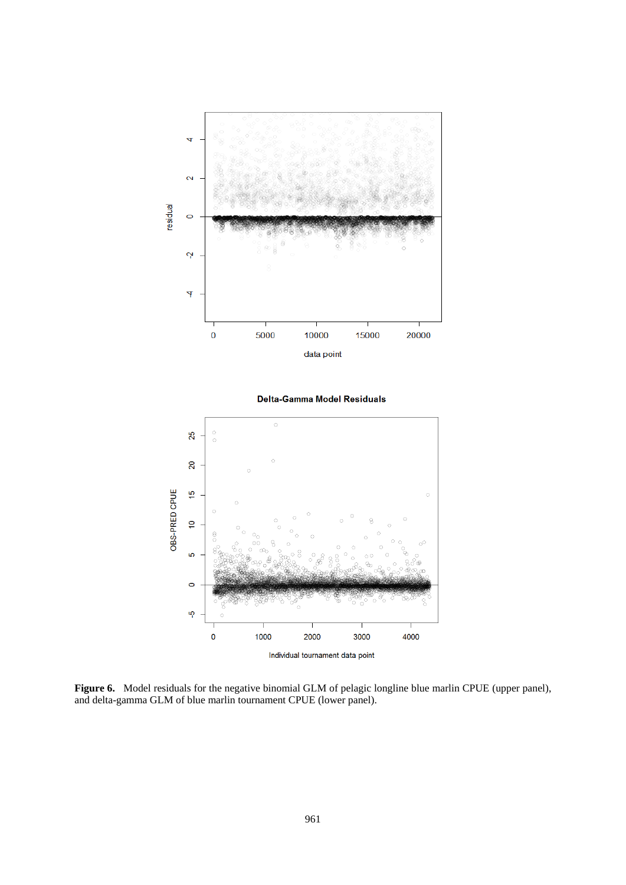

**Figure 6.** Model residuals for the negative binomial GLM of pelagic longline blue marlin CPUE (upper panel), and delta-gamma GLM of blue marlin tournament CPUE (lower panel).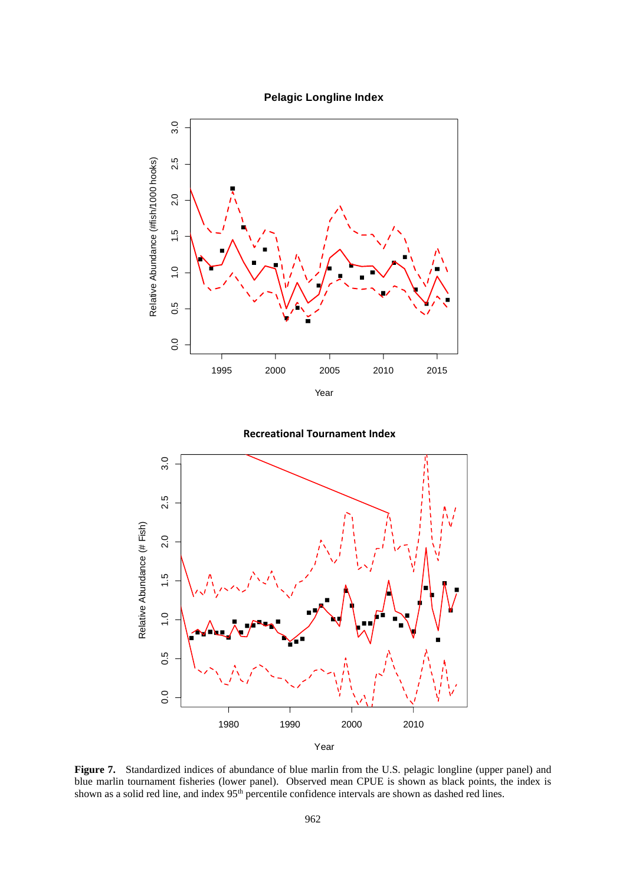





**Recreational Tournament Index**

Figure 7. Standardized indices of abundance of blue marlin from the U.S. pelagic longline (upper panel) and blue marlin tournament fisheries (lower panel). Observed mean CPUE is shown as black points, the index is shown as a solid red line, and index 95<sup>th</sup> percentile confidence intervals are shown as dashed red lines.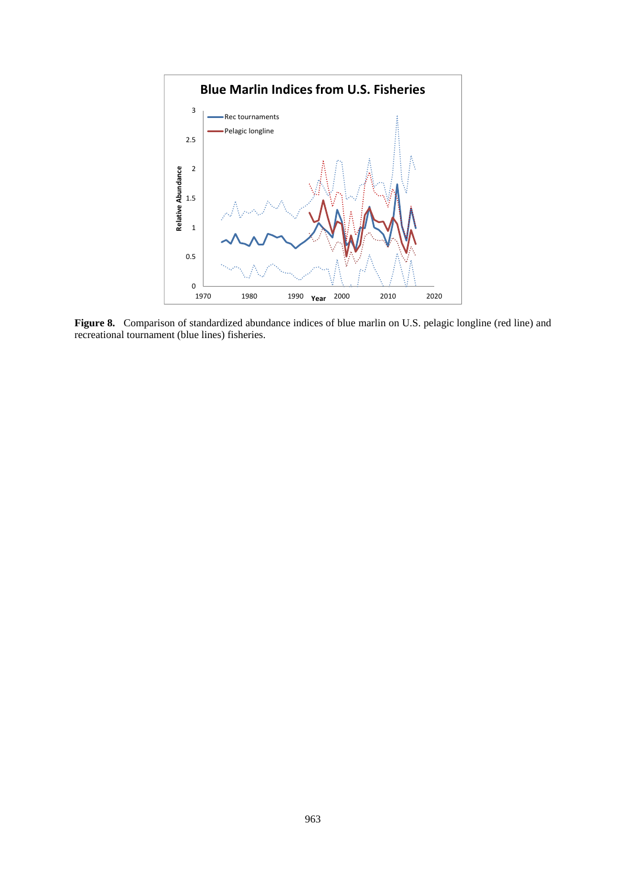

**Figure 8.** Comparison of standardized abundance indices of blue marlin on U.S. pelagic longline (red line) and recreational tournament (blue lines) fisheries.